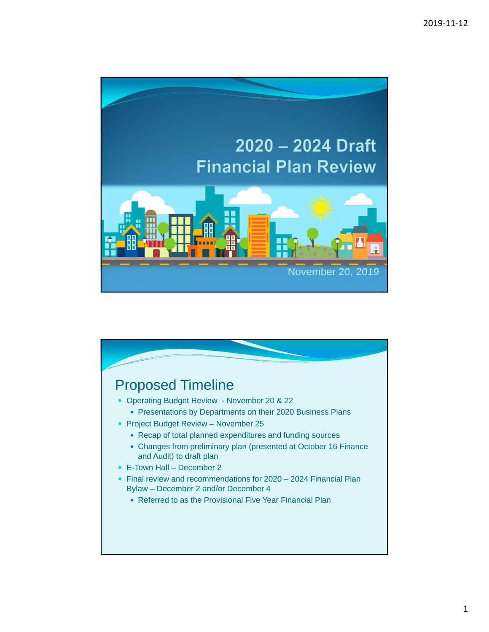

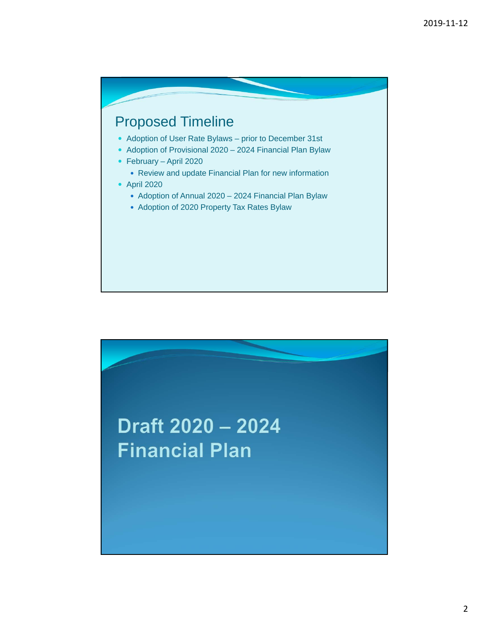

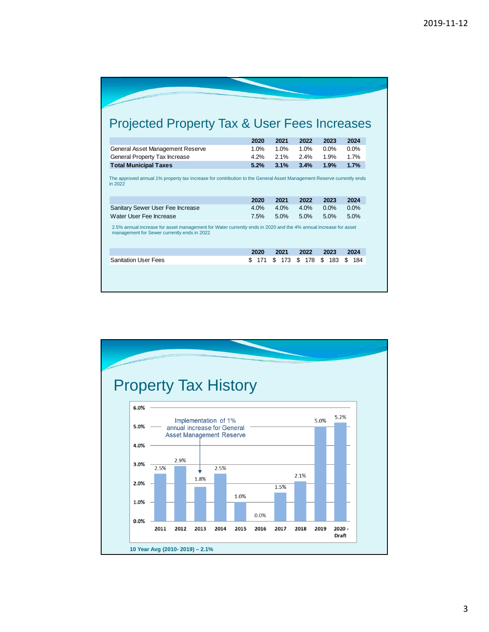| <b>Projected Property Tax &amp; User Fees Increases</b>                                                                                                        |            |           |           |           |           |
|----------------------------------------------------------------------------------------------------------------------------------------------------------------|------------|-----------|-----------|-----------|-----------|
|                                                                                                                                                                | 2020       | 2021      | 2022      | 2023      | 2024      |
| General Asset Management Reserve                                                                                                                               | 1.0%       | 1.0%      | 1.0%      | $0.0\%$   | $0.0\%$   |
| General Property Tax Increase                                                                                                                                  | 4.2%       | 2.1%      | 2.4%      | 1.9%      | 1.7%      |
| <b>Total Municipal Taxes</b>                                                                                                                                   | 5.2%       | 3.1%      | 3.4%      | 1.9%      | 1.7%      |
|                                                                                                                                                                | 2020       | 2021      | 2022      | 2023      | 2024      |
| Sanitary Sewer User Fee Increase                                                                                                                               | 4.0%       | 4.0%      | 4.0%      | 0.0%      | 0.0%      |
| Water User Fee Increase                                                                                                                                        | 7.5%       | 5.0%      | 5.0%      | 5.0%      | 5.0%      |
| 2.5% annual increase for asset management for Water currently ends in 2020 and the 4% annual increase for asset<br>management for Sewer currently ends in 2022 |            |           |           |           |           |
|                                                                                                                                                                |            |           |           |           |           |
|                                                                                                                                                                | 2020       | 2021      | 2022      | 2023      | 2024      |
| <b>Sanitation User Fees</b>                                                                                                                                    | \$.<br>171 | \$<br>173 | \$<br>178 | \$<br>183 | \$<br>184 |
|                                                                                                                                                                |            |           |           |           |           |
|                                                                                                                                                                |            |           |           |           |           |

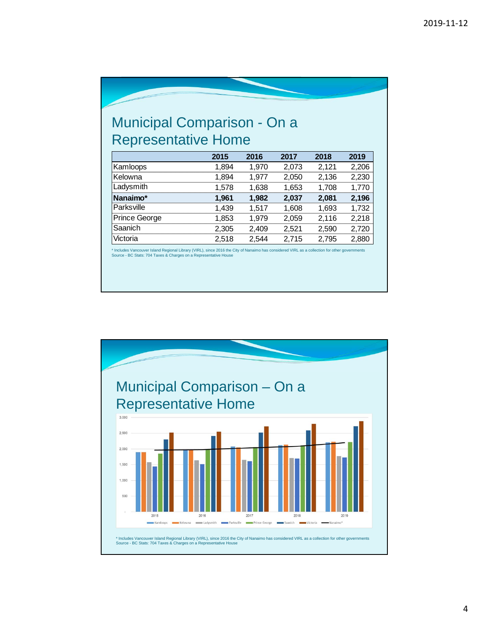## Municipal Comparison - On a Representative Home

|               | 2015  | 2016  | 2017  | 2018  | 2019  |
|---------------|-------|-------|-------|-------|-------|
| Kamloops      | 1,894 | 1,970 | 2,073 | 2,121 | 2,206 |
| Kelowna       | 1,894 | 1,977 | 2,050 | 2,136 | 2,230 |
| Ladysmith     | 1,578 | 1,638 | 1,653 | 1,708 | 1,770 |
| Nanaimo*      | 1,961 | 1,982 | 2,037 | 2,081 | 2,196 |
| Parksville    | 1,439 | 1,517 | 1,608 | 1,693 | 1,732 |
| Prince George | 1,853 | 1.979 | 2,059 | 2,116 | 2,218 |
| Saanich       | 2,305 | 2,409 | 2,521 | 2,590 | 2,720 |
| Victoria      | 2,518 | 2,544 | 2,715 | 2,795 | 2,880 |

\* Includes Vancouver Island Regional Library (VIRL), since 2016 the City of Nanaimo has considered VIRL as a collection for other governments Source - BC Stats: 704 Taxes & Charges on a Representative House

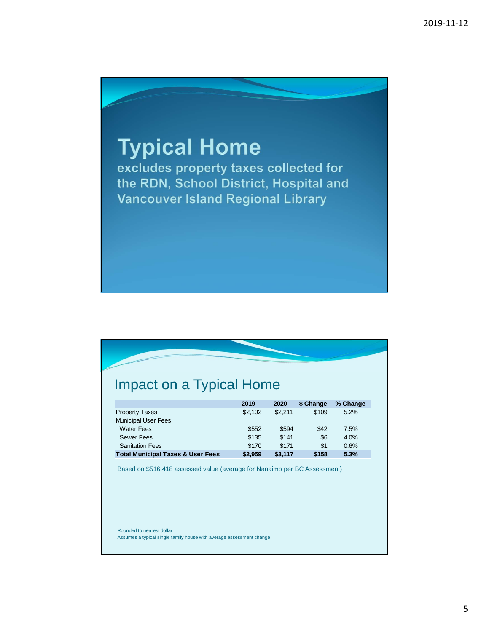

## Impact on a Typical Home

|                                              | 2019    | 2020    | \$ Change | % Change |
|----------------------------------------------|---------|---------|-----------|----------|
| <b>Property Taxes</b>                        | \$2.102 | \$2.211 | \$109     | 5.2%     |
| <b>Municipal User Fees</b>                   |         |         |           |          |
| <b>Water Fees</b>                            | \$552   | \$594   | \$42      | 7.5%     |
| <b>Sewer Fees</b>                            | \$135   | \$141   | \$6       | 4.0%     |
| <b>Sanitation Fees</b>                       | \$170   | \$171   | \$1       | 0.6%     |
| <b>Total Municipal Taxes &amp; User Fees</b> | \$2,959 | \$3,117 | \$158     | 5.3%     |

Based on \$516,418 assessed value (average for Nanaimo per BC Assessment)

Rounded to nearest dollar Assumes a typical single family house with average assessment change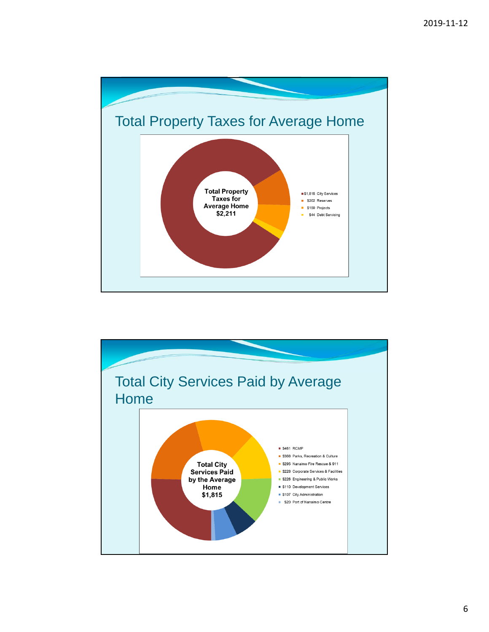

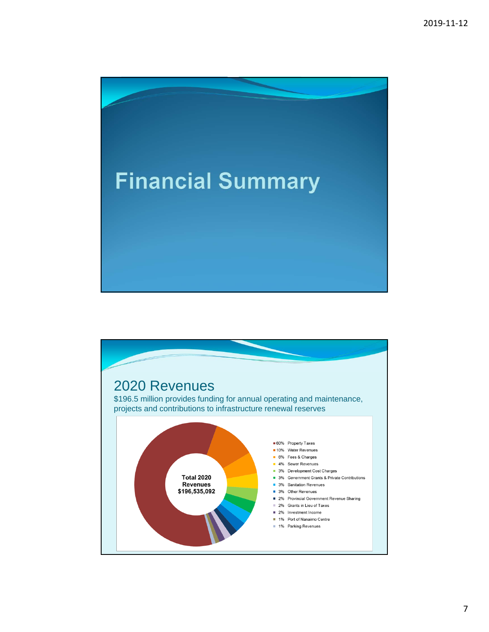

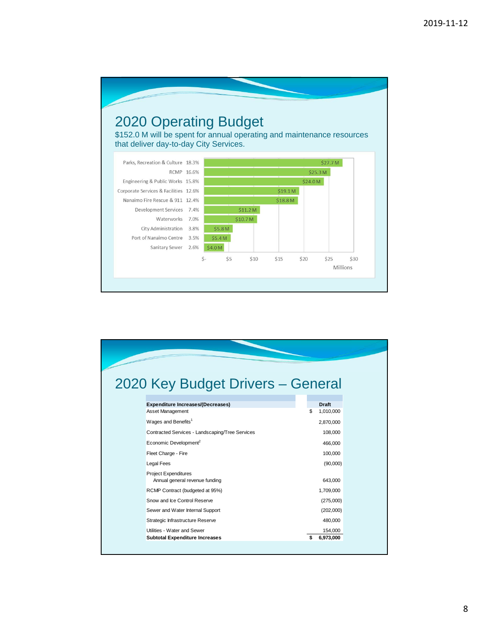

| 2020 Key Budget Drivers - General                                    |                            |
|----------------------------------------------------------------------|----------------------------|
| <b>Expenditure Increases/(Decreases)</b>                             | <b>Draft</b>               |
| Asset Management                                                     | \$<br>1,010,000            |
| Wages and Benefits <sup>1</sup>                                      | 2,870,000                  |
| Contracted Services - Landscaping/Tree Services                      | 108,000                    |
| Economic Development <sup>2</sup>                                    | 466,000                    |
| Fleet Charge - Fire                                                  | 100,000                    |
| <b>Legal Fees</b>                                                    | (90,000)                   |
| <b>Project Expenditures</b><br>Annual general revenue funding        | 643,000                    |
| RCMP Contract (budgeted at 95%)                                      | 1,709,000                  |
| Snow and Ice Control Reserve                                         | (275,000)                  |
| Sewer and Water Internal Support                                     | (202,000)                  |
| Strategic Infrastructure Reserve                                     | 480,000                    |
| Utilities - Water and Sewer<br><b>Subtotal Expenditure Increases</b> | \$<br>154,000<br>6,973,000 |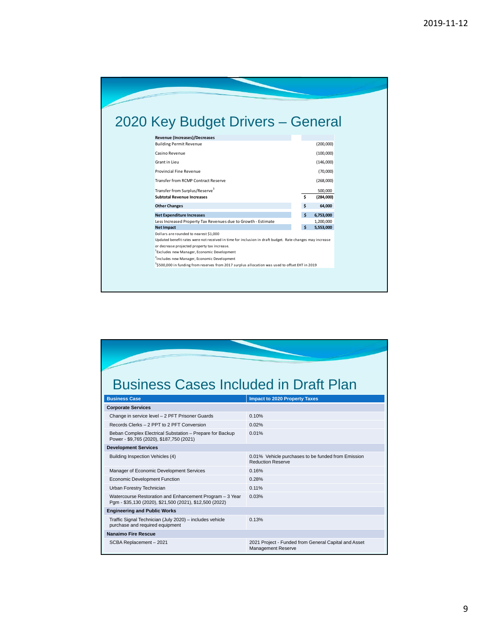| 2020 Key Budget Drivers - General                                                                           |     |           |  |
|-------------------------------------------------------------------------------------------------------------|-----|-----------|--|
|                                                                                                             |     |           |  |
| Revenue (Increases)/Decreases                                                                               |     |           |  |
| <b>Building Permit Revenue</b>                                                                              |     | (200,000) |  |
| Casino Revenue                                                                                              |     | (100,000) |  |
| Grant in Lieu                                                                                               |     | (146,000) |  |
| Provincial Fine Revenue                                                                                     |     | (70,000)  |  |
| Transfer from RCMP Contract Reserve                                                                         |     | (268,000) |  |
| Transfer from Surplus/Reserve <sup>3</sup>                                                                  |     | 500,000   |  |
| <b>Subtotal Revenue Increases</b>                                                                           | \$. | (284,000) |  |
| <b>Other Changes</b>                                                                                        | Ś   | 64,000    |  |
| <b>Net Expenditure Increases</b>                                                                            | Ś   | 6,753,000 |  |
| Less Increased Property Tax Revenues due to Growth - Estimate                                               |     | 1,200,000 |  |
| <b>Net Impact</b>                                                                                           | \$  | 5,553,000 |  |
| Dollars are rounded to nearest \$1,000                                                                      |     |           |  |
| Updated benefit rates were not received in time for inclusion in draft budget. Rate changes may increase    |     |           |  |
| or decrease projected property tax increase.                                                                |     |           |  |
| <sup>1</sup> Excludes new Manager, Economic Development                                                     |     |           |  |
| <sup>2</sup> Includes new Manager, Economic Development                                                     |     |           |  |
| <sup>3</sup> \$500,000 in funding from reserves from 2017 surplus allocation was used to offset EHT in 2019 |     |           |  |

|  |  | <b>Business Cases Included in Draft Plan</b> |
|--|--|----------------------------------------------|

| <b>Business Case</b>                                                                                                | <b>Impact to 2020 Property Taxes</b>                                              |
|---------------------------------------------------------------------------------------------------------------------|-----------------------------------------------------------------------------------|
| <b>Corporate Services</b>                                                                                           |                                                                                   |
| Change in service level - 2 PFT Prisoner Guards                                                                     | 0.10%                                                                             |
| Records Clerks - 2 PPT to 2 PFT Conversion                                                                          | 0.02%                                                                             |
| Beban Complex Electrical Substation - Prepare for Backup<br>Power - \$9,765 (2020), \$187,750 (2021)                | 0.01%                                                                             |
| <b>Development Services</b>                                                                                         |                                                                                   |
| Building Inspection Vehicles (4)                                                                                    | 0.01% Vehicle purchases to be funded from Emission<br><b>Reduction Reserve</b>    |
| Manager of Economic Development Services                                                                            | 0.16%                                                                             |
| <b>Economic Development Function</b>                                                                                | 0.28%                                                                             |
| Urban Forestry Technician                                                                                           | 0.11%                                                                             |
| Watercourse Restoration and Enhancement Program - 3 Year<br>Pqm - \$35,130 (2020), \$21,500 (2021), \$12,500 (2022) | 0.03%                                                                             |
| <b>Engineering and Public Works</b>                                                                                 |                                                                                   |
| Traffic Signal Technician (July 2020) - includes vehicle<br>purchase and required equipment                         | 0.13%                                                                             |
| Nanaimo Fire Rescue                                                                                                 |                                                                                   |
| SCBA Replacement - 2021                                                                                             | 2021 Project - Funded from General Capital and Asset<br><b>Management Reserve</b> |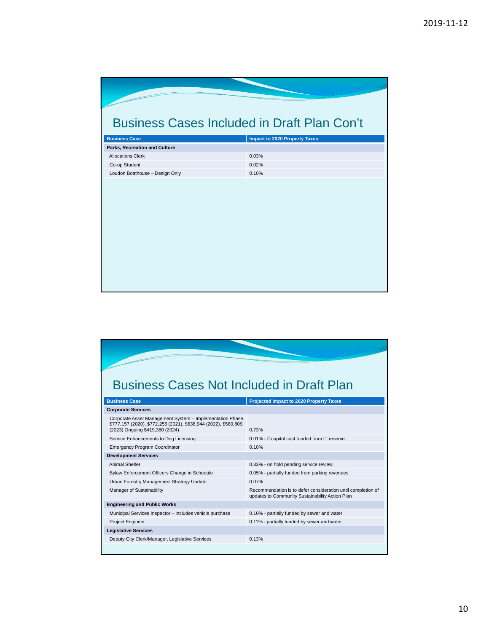| <b>Business Cases Included in Draft Plan Con't</b> |                                      |
|----------------------------------------------------|--------------------------------------|
|                                                    |                                      |
| <b>Business Case</b>                               | <b>Impact to 2020 Property Taxes</b> |
| Parks, Recreation and Culture                      |                                      |
| <b>Allocations Clerk</b>                           | 0.03%                                |
| Co-op Student                                      | 0.02%                                |
| Loudon Boathouse - Design Only                     | 0.10%                                |
|                                                    |                                      |
|                                                    |                                      |
|                                                    |                                      |
|                                                    |                                      |
|                                                    |                                      |
|                                                    |                                      |
|                                                    |                                      |
|                                                    |                                      |
|                                                    |                                      |
|                                                    |                                      |
|                                                    |                                      |
|                                                    |                                      |
|                                                    |                                      |
|                                                    |                                      |

## Business Cases Not Included in Draft Plan

| <b>Business Case</b>                                                                                                                                           | <b>Projected Impact to 2020 Property Taxes</b>                                                                  |
|----------------------------------------------------------------------------------------------------------------------------------------------------------------|-----------------------------------------------------------------------------------------------------------------|
| <b>Corporate Services</b>                                                                                                                                      |                                                                                                                 |
| Corporate Asset Management System - Implementation Phase<br>\$777,157 (2020), \$772,255 (2021), \$638,944 (2022), \$580,809<br>(2023) Ongoing \$419,380 (2024) | 0.73%                                                                                                           |
| Service Enhancements to Dog Licensing                                                                                                                          | 0.01% - If capital cost funded from IT reserve                                                                  |
| <b>Emergency Program Coordinator</b>                                                                                                                           | 0.10%                                                                                                           |
| <b>Development Services</b>                                                                                                                                    |                                                                                                                 |
| <b>Animal Shelter</b>                                                                                                                                          | 0.33% - on hold pending service review                                                                          |
| Bylaw Enforcement Officers Change in Schedule                                                                                                                  | 0.05% - partially funded from parking revenues                                                                  |
| Urban Forestry Management Strategy Update                                                                                                                      | 0.07%                                                                                                           |
| Manager of Sustainability                                                                                                                                      | Recommendation is to defer consideration until completion of<br>updates to Community Sustainability Action Plan |
| <b>Engineering and Public Works</b>                                                                                                                            |                                                                                                                 |
| Municipal Services Inspector - includes vehicle purchase                                                                                                       | 0.10% - partially funded by sewer and water                                                                     |
| Project Engineer                                                                                                                                               | 0.11% - partially funded by sewer and water                                                                     |
| <b>Legislative Services</b>                                                                                                                                    |                                                                                                                 |
| Deputy City Clerk/Manager, Legislative Services                                                                                                                | 0.13%                                                                                                           |
|                                                                                                                                                                |                                                                                                                 |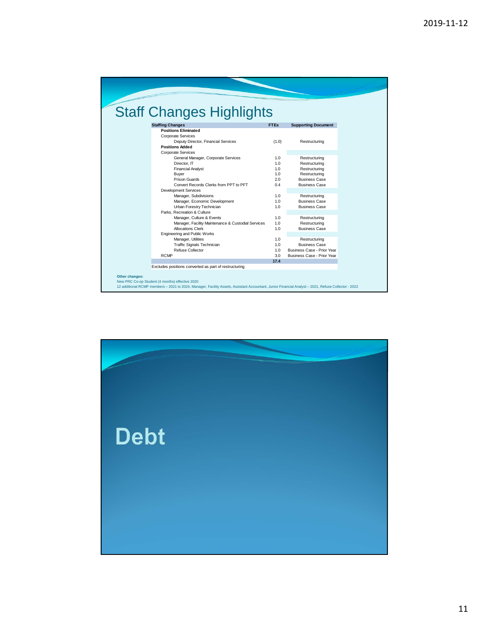| <b>Staff Changes Highlights</b>                       |             |                            |  |
|-------------------------------------------------------|-------------|----------------------------|--|
|                                                       |             |                            |  |
| <b>Staffing Changes</b>                               | <b>FTEs</b> | <b>Supporting Document</b> |  |
| <b>Positions Eliminated</b>                           |             |                            |  |
| <b>Corporate Services</b>                             |             |                            |  |
| Deputy Director, Financial Services                   | (1.0)       | Restructuring              |  |
| <b>Positions Added</b>                                |             |                            |  |
| <b>Corporate Services</b>                             |             |                            |  |
| General Manager, Corporate Services                   | 1.0         | Restructuring              |  |
| Director, IT                                          | 1.0         | Restructuring              |  |
| <b>Financial Analyst</b>                              | 1.0         | Restructuring              |  |
| Buyer                                                 | 1.0         | Restructuring              |  |
| Prison Guards                                         | 2.0         | <b>Business Case</b>       |  |
| Convert Records Clerks from PPT to PFT                | 0.4         | <b>Business Case</b>       |  |
| <b>Development Services</b>                           |             |                            |  |
| Manager, Subdivisions                                 | 1.0         | Restructuring              |  |
| Manager, Economic Development                         | 1.0         | <b>Business Case</b>       |  |
| Urban Forestry Technician                             | 1.0         | <b>Business Case</b>       |  |
| Parks, Recreation & Culture                           |             |                            |  |
| Manager, Culture & Events                             | 1.0         | Restructuring              |  |
| Manager, Facility Maintenance & Custodial Services    | 1.0         | Restructuring              |  |
| <b>Allocations Clerk</b>                              | 1.0         | <b>Business Case</b>       |  |
| <b>Engineering and Public Works</b>                   |             |                            |  |
| Manager, Utilities                                    | 1.0         | Restructuring              |  |
| <b>Traffic Signals Technician</b>                     | 1.0         | <b>Business Case</b>       |  |
| Refuse Collector                                      | 1.0         | Business Case - Prior Year |  |
| <b>RCMP</b>                                           | 3.0         | Business Case - Prior Year |  |
|                                                       | 17.4        |                            |  |
| Excludes positions converted as part of restructuring |             |                            |  |

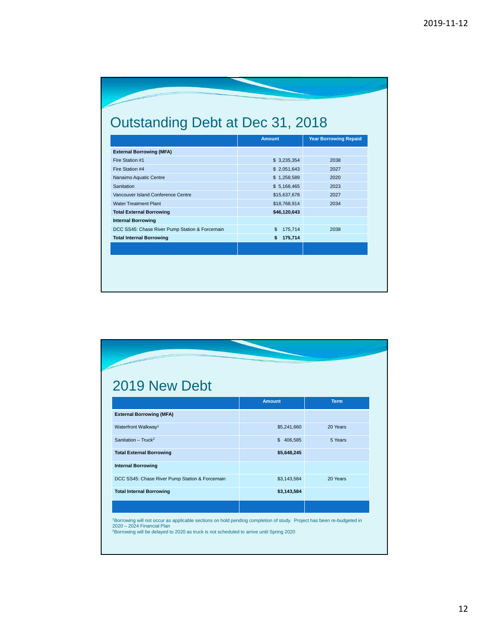| Outstanding Debt at Dec 31, 2018 |  |
|----------------------------------|--|
|                                  |  |

|                                                | <b>Amount</b>             | <b>Year Borrowing Repaid</b> |
|------------------------------------------------|---------------------------|------------------------------|
| <b>External Borrowing (MFA)</b>                |                           |                              |
| Fire Station #1                                | \$3,235,354               | 2038                         |
| Fire Station #4                                | \$2,051,643               | 2027                         |
| Nanaimo Aquatic Centre                         | \$1,258,589               | 2020                         |
| Sanitation                                     | \$5,168,465               | 2023                         |
| Vancouver Island Conference Centre             | \$15,637,678              | 2027                         |
| <b>Water Treatment Plant</b>                   | \$18,768,914              | 2034                         |
| <b>Total External Borrowing</b>                | \$46,120,643              |                              |
| <b>Internal Borrowing</b>                      |                           |                              |
| DCC SS45: Chase River Pump Station & Forcemain | $\mathfrak{s}$<br>175,714 | 2038                         |
| <b>Total Internal Borrowing</b>                | 175,714<br>\$.            |                              |
|                                                |                           |                              |
|                                                |                           |                              |

| 2019 New Debt                                  |               |             |
|------------------------------------------------|---------------|-------------|
|                                                | <b>Amount</b> | <b>Term</b> |
| <b>External Borrowing (MFA)</b>                |               |             |
| Waterfront Walkway <sup>1</sup>                | \$5,241,660   | 20 Years    |
| Sanitation - $Truck2$                          | \$406.585     | 5 Years     |
| <b>Total External Borrowing</b>                | \$5,648,245   |             |
| <b>Internal Borrowing</b>                      |               |             |
| DCC SS45: Chase River Pump Station & Forcemain | \$3,143,584   | 20 Years    |
| <b>Total Internal Borrowing</b>                | \$3,143,584   |             |
|                                                |               |             |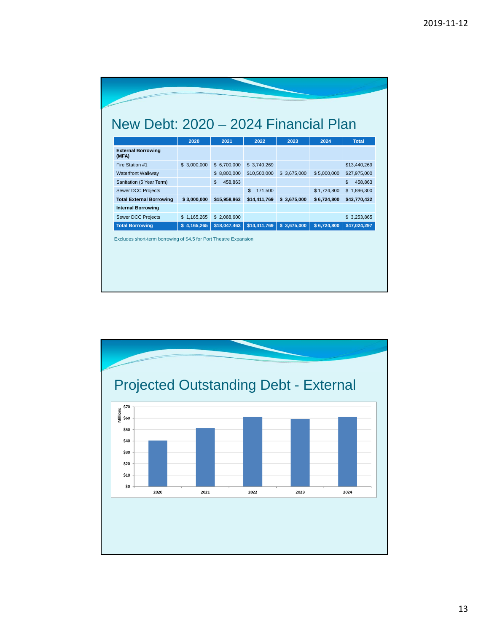|                                    | 2020        | 2021          | 2022          | 2023        | 2024        | <b>Total</b>  |
|------------------------------------|-------------|---------------|---------------|-------------|-------------|---------------|
| <b>External Borrowing</b><br>(MFA) |             |               |               |             |             |               |
| Fire Station #1                    | \$3,000,000 | \$6,700,000   | \$3,740,269   |             |             | \$13,440,269  |
| <b>Waterfront Walkway</b>          |             | \$8,800,000   | \$10,500,000  | \$3,675,000 | \$5,000,000 | \$27,975,000  |
| Sanitation (5 Year Term)           |             | 458,863<br>\$ |               |             |             | \$<br>458,863 |
| <b>Sewer DCC Projects</b>          |             |               | 171,500<br>\$ |             | \$1,724,800 | \$1,896,300   |
| <b>Total External Borrowing</b>    | \$3,000,000 | \$15,958,863  | \$14,411,769  | \$3,675,000 | \$6,724,800 | \$43,770,432  |
| <b>Internal Borrowing</b>          |             |               |               |             |             |               |
| <b>Sewer DCC Projects</b>          | \$1,165,265 | \$2,088,600   |               |             |             | \$3,253,865   |
| <b>Total Borrowing</b>             | \$4,165,265 | \$18,047,463  | \$14,411,769  | \$3,675,000 | \$6,724,800 | \$47,024,297  |

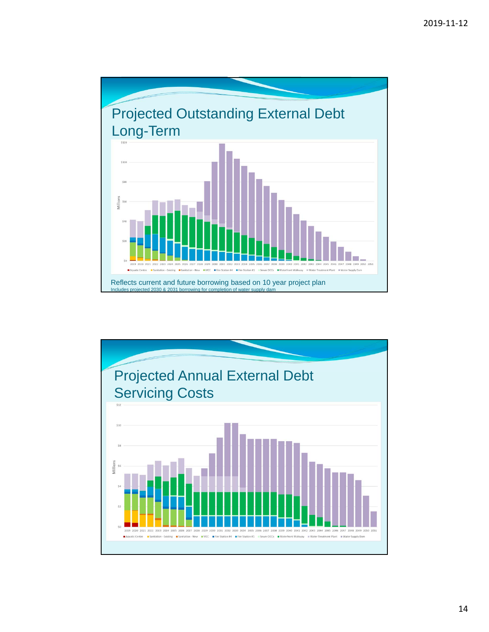

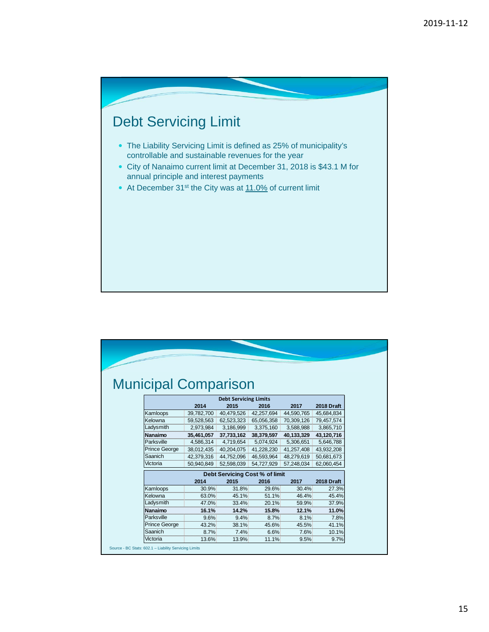

|                              | <b>Municipal Comparison</b> |                                |            |            |                   |  |  |
|------------------------------|-----------------------------|--------------------------------|------------|------------|-------------------|--|--|
|                              |                             |                                |            |            |                   |  |  |
| <b>Debt Servicing Limits</b> |                             |                                |            |            |                   |  |  |
|                              | 2014                        | 2015                           | 2016       | 2017       | <b>2018 Draft</b> |  |  |
| Kamloops                     | 39,782,700                  | 40,479,526                     | 42,257,694 | 44,590,765 | 45,684,834        |  |  |
| Kelowna                      | 59,528,563                  | 62,523,323                     | 65,056,358 | 70,309,126 | 79,457,574        |  |  |
| Ladysmith                    | 2,973,984                   | 3,186,999                      | 3,375,160  | 3,588,988  | 3,865,710         |  |  |
| Nanaimo                      | 35,461,057                  | 37,733,162                     | 38,379,597 | 40,133,329 | 43,120,716        |  |  |
| Parksville                   | 4,586,314                   | 4,719,654                      | 5,074,924  | 5,306,651  | 5,646,788         |  |  |
| <b>Prince George</b>         | 38,012,435                  | 40,204,075                     | 41,228,230 | 41,257,408 | 43,932,208        |  |  |
| Saanich                      | 42,379,316                  | 44,752,096                     | 46,593,964 | 48,279,619 | 50,681,673        |  |  |
| Victoria                     | 50.940.849                  | 52,598,039                     | 54,727,929 | 57.248.034 | 62.060.454        |  |  |
|                              |                             | Debt Servicing Cost % of limit |            |            |                   |  |  |
|                              | 2014                        | 2015                           | 2016       | 2017       | <b>2018 Draft</b> |  |  |
| Kamloops                     | 30.9%                       | 31.8%                          | 29.6%      | 30.4%      | 27.3%             |  |  |
| Kelowna                      | 63.0%                       | 45.1%                          | 51.1%      | 46.4%      | 45.4%             |  |  |
| Ladysmith                    | 47.0%                       | 33.4%                          | 20.1%      | 59.9%      | 37.9%             |  |  |
| Nanaimo                      | 16.1%                       | 14.2%                          | 15.8%      | 12.1%      | 11.0%             |  |  |
| Parksville                   | 9.6%                        | 9.4%                           | 8.7%       | 8.1%       | 7.8%              |  |  |
| <b>Prince George</b>         | 43.2%                       | 38.1%                          | 45.6%      | 45.5%      | 41.1%             |  |  |
| Saanich                      | 8.7%                        | 7.4%                           | 6.6%       | 7.6%       | 10.1%             |  |  |
| Victoria                     | 13.6%                       | 13.9%                          | 11.1%      | 9.5%       | 9.7%              |  |  |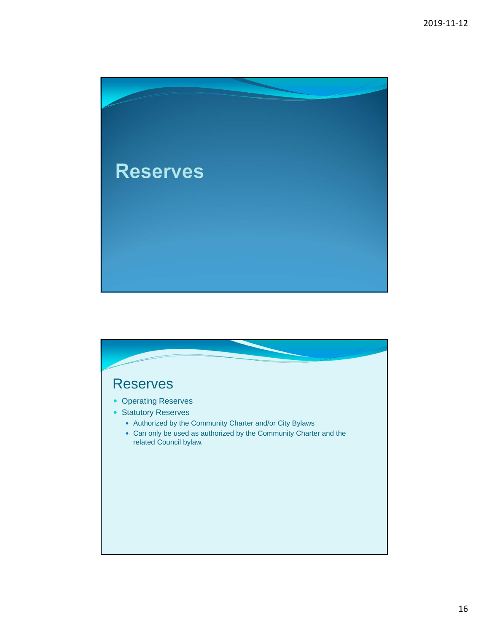

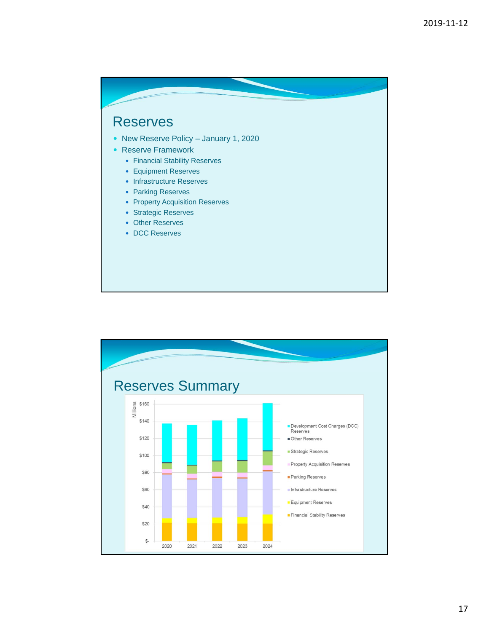## Reserves

- New Reserve Policy January 1, 2020
- Reserve Framework
	- Financial Stability Reserves
	- Equipment Reserves
	- Infrastructure Reserves
	- Parking Reserves
	- Property Acquisition Reserves
	- Strategic Reserves
	- Other Reserves
	- DCC Reserves